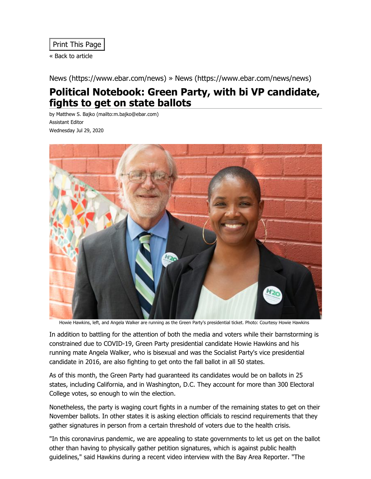« Back to [article](javascript:history.back())

[News \(https://www.ebar.com/news\)](https://www.ebar.com/news) » [News \(https://www.ebar.com/news/news\)](https://www.ebar.com/news/news)

## **Political Notebook: Green Party, with bi VP candidate, fights to get on state ballots**

by Matthew S. Bajko [\(mailto:m.bajko@ebar.com\)](mailto:m.bajko@ebar.com) Assistant Editor Wednesday Jul 29, 2020



Howie Hawkins, left, and Angela Walker are running as the Green Party's presidential ticket. Photo: Courtesy Howie Hawkins

In addition to battling for the attention of both the media and voters while their barnstorming is constrained due to COVID-19, Green Party presidential candidate Howie Hawkins and his running mate Angela Walker, who is bisexual and was the Socialist Party's vice presidential candidate in 2016, are also fighting to get onto the fall ballot in all 50 states.

As of this month, the Green Party had guaranteed its candidates would be on ballots in 25 states, including California, and in Washington, D.C. They account for more than 300 Electoral College votes, so enough to win the election.

Nonetheless, the party is waging court fights in a number of the remaining states to get on their November ballots. In other states it is asking election officials to rescind requirements that they gather signatures in person from a certain threshold of voters due to the health crisis.

"In this coronavirus pandemic, we are appealing to state governments to let us get on the ballot other than having to physically gather petition signatures, which is against public health guidelines," said Hawkins during a recent video interview with the Bay Area Reporter. "The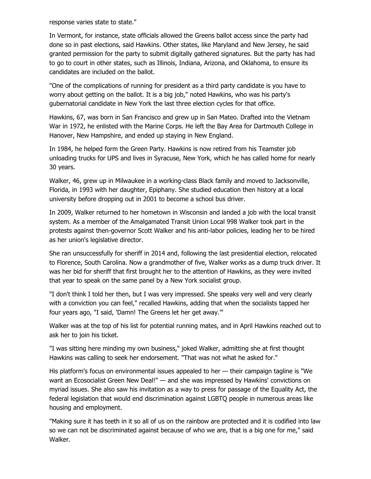response varies state to state."

In Vermont, for instance, state officials allowed the Greens ballot access since the party had done so in past elections, said Hawkins. Other states, like Maryland and New Jersey, he said granted permission for the party to submit digitally gathered signatures. But the party has had to go to court in other states, such as Illinois, Indiana, Arizona, and Oklahoma, to ensure its candidates are included on the ballot.

"One of the complications of running for president as a third party candidate is you have to worry about getting on the ballot. It is a big job," noted Hawkins, who was his party's gubernatorial candidate in New York the last three election cycles for that office.

Hawkins, 67, was born in San Francisco and grew up in San Mateo. Drafted into the Vietnam War in 1972, he enlisted with the Marine Corps. He left the Bay Area for Dartmouth College in Hanover, New Hampshire, and ended up staying in New England.

In 1984, he helped form the Green Party. Hawkins is now retired from his Teamster job unloading trucks for UPS and lives in Syracuse, New York, which he has called home for nearly 30 years.

Walker, 46, grew up in Milwaukee in a working-class Black family and moved to Jacksonville, Florida, in 1993 with her daughter, Epiphany. She studied education then history at a local university before dropping out in 2001 to become a school bus driver.

In 2009, Walker returned to her hometown in Wisconsin and landed a job with the local transit system. As a member of the Amalgamated Transit Union Local 998 Walker took part in the protests against then-governor Scott Walker and his anti-labor policies, leading her to be hired as her union's legislative director.

She ran unsuccessfully for sheriff in 2014 and, following the last presidential election, relocated to Florence, South Carolina. Now a grandmother of five, Walker works as a dump truck driver. It was her bid for sheriff that first brought her to the attention of Hawkins, as they were invited that year to speak on the same panel by a New York socialist group.

"I don't think I told her then, but I was very impressed. She speaks very well and very clearly with a conviction you can feel," recalled Hawkins, adding that when the socialists tapped her four years ago, "I said, 'Damn! The Greens let her get away.'"

Walker was at the top of his list for potential running mates, and in April Hawkins reached out to ask her to join his ticket.

"I was sitting here minding my own business," joked Walker, admitting she at first thought Hawkins was calling to seek her endorsement. "That was not what he asked for."

His platform's focus on environmental issues appealed to her — their campaign tagline is "We want an Ecosocialist Green New Deal!" — and she was impressed by Hawkins' convictions on myriad issues. She also saw his invitation as a way to press for passage of the Equality Act, the federal legislation that would end discrimination against LGBTQ people in numerous areas like housing and employment.

"Making sure it has teeth in it so all of us on the rainbow are protected and it is codified into law so we can not be discriminated against because of who we are, that is a big one for me," said Walker.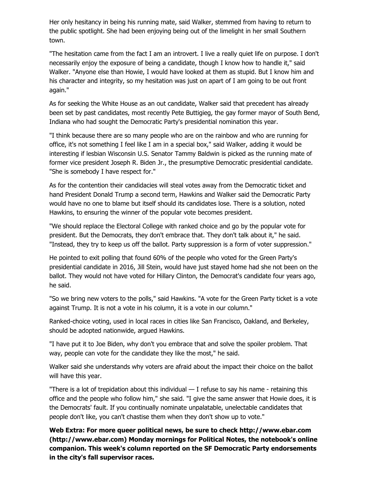Her only hesitancy in being his running mate, said Walker, stemmed from having to return to the public spotlight. She had been enjoying being out of the limelight in her small Southern town.

"The hesitation came from the fact I am an introvert. I live a really quiet life on purpose. I don't necessarily enjoy the exposure of being a candidate, though I know how to handle it," said Walker. "Anyone else than Howie, I would have looked at them as stupid. But I know him and his character and integrity, so my hesitation was just on apart of I am going to be out front again."

As for seeking the White House as an out candidate, Walker said that precedent has already been set by past candidates, most recently Pete Buttigieg, the gay former mayor of South Bend, Indiana who had sought the Democratic Party's presidential nomination this year.

"I think because there are so many people who are on the rainbow and who are running for office, it's not something I feel like I am in a special box," said Walker, adding it would be interesting if lesbian Wisconsin U.S. Senator Tammy Baldwin is picked as the running mate of former vice president Joseph R. Biden Jr., the presumptive Democratic presidential candidate. "She is somebody I have respect for."

As for the contention their candidacies will steal votes away from the Democratic ticket and hand President Donald Trump a second term, Hawkins and Walker said the Democratic Party would have no one to blame but itself should its candidates lose. There is a solution, noted Hawkins, to ensuring the winner of the popular vote becomes president.

"We should replace the Electoral College with ranked choice and go by the popular vote for president. But the Democrats, they don't embrace that. They don't talk about it," he said. "Instead, they try to keep us off the ballot. Party suppression is a form of voter suppression."

He pointed to exit polling that found 60% of the people who voted for the Green Party's presidential candidate in 2016, Jill Stein, would have just stayed home had she not been on the ballot. They would not have voted for Hillary Clinton, the Democrat's candidate four years ago, he said.

"So we bring new voters to the polls," said Hawkins. "A vote for the Green Party ticket is a vote against Trump. It is not a vote in his column, it is a vote in our column."

Ranked-choice voting, used in local races in cities like San Francisco, Oakland, and Berkeley, should be adopted nationwide, argued Hawkins.

"I have put it to Joe Biden, why don't you embrace that and solve the spoiler problem. That way, people can vote for the candidate they like the most," he said.

Walker said she understands why voters are afraid about the impact their choice on the ballot will have this year.

"There is a lot of trepidation about this individual — I refuse to say his name - retaining this office and the people who follow him," she said. "I give the same answer that Howie does, it is the Democrats' fault. If you continually nominate unpalatable, unelectable candidates that people don't like, you can't chastise them when they don't show up to vote."

**Web Extra: For more queer political news, be sure to check http://www.ebar.com [\(http://www.ebar.com\) Monday mornings for Political Notes, the notebook's onlin](http://www.ebar.com/)e companion. This week's column reported on the SF Democratic Party endorsements in the city's fall supervisor races.**